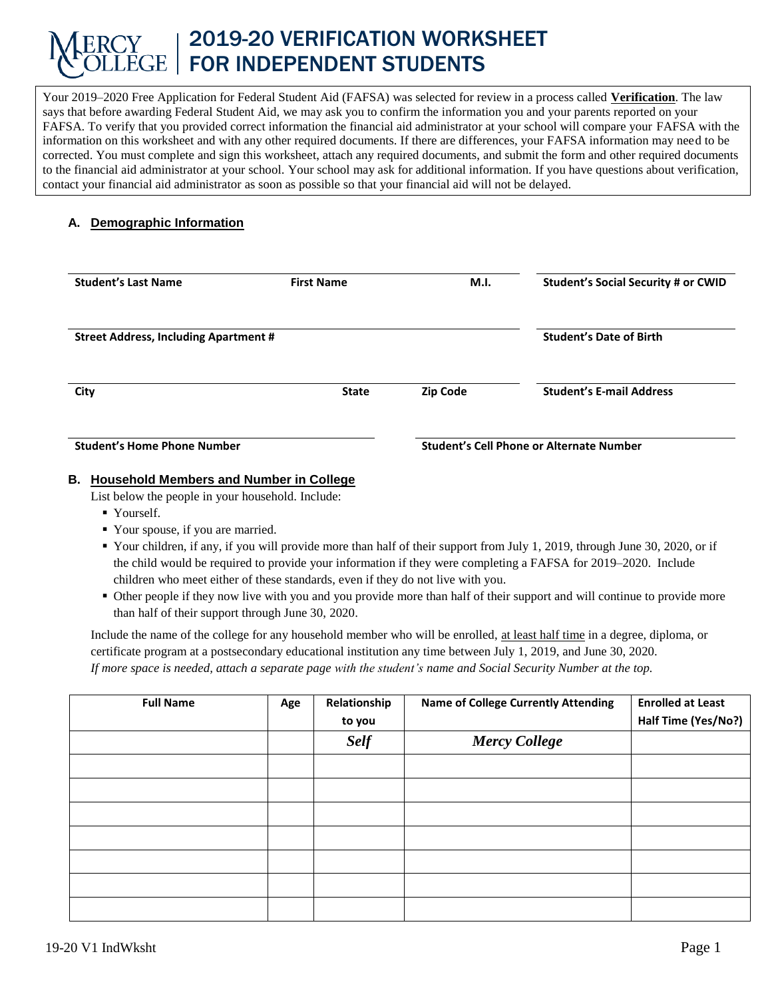# 2019-20 VERIFICATION WORKSHEET FOR INDEPENDENT STUDENTS

Your 2019–2020 Free Application for Federal Student Aid (FAFSA) was selected for review in a process called **Verification**. The law says that before awarding Federal Student Aid, we may ask you to confirm the information you and your parents reported on your FAFSA. To verify that you provided correct information the financial aid administrator at your school will compare your FAFSA with the information on this worksheet and with any other required documents. If there are differences, your FAFSA information may need to be corrected. You must complete and sign this worksheet, attach any required documents, and submit the form and other required documents to the financial aid administrator at your school. Your school may ask for additional information. If you have questions about verification, contact your financial aid administrator as soon as possible so that your financial aid will not be delayed.

# **A. Demographic Information**

| <b>Student's Last Name</b>                   | <b>First Name</b> | M.I.                                     | <b>Student's Social Security # or CWID</b> |  |
|----------------------------------------------|-------------------|------------------------------------------|--------------------------------------------|--|
| <b>Street Address, Including Apartment #</b> |                   |                                          | <b>Student's Date of Birth</b>             |  |
| City                                         | <b>State</b>      | Zip Code                                 | <b>Student's E-mail Address</b>            |  |
| <b>Student's Home Phone Number</b>           |                   | Student's Cell Phone or Alternate Number |                                            |  |

# **B. Household Members and Number in College**

- List below the people in your household. Include:
	- Yourself.
	- Your spouse, if you are married.
	- Your children, if any, if you will provide more than half of their support from July 1, 2019, through June 30, 2020, or if the child would be required to provide your information if they were completing a FAFSA for 2019–2020. Include children who meet either of these standards, even if they do not live with you.
	- Other people if they now live with you and you provide more than half of their support and will continue to provide more than half of their support through June 30, 2020.

Include the name of the college for any household member who will be enrolled, at least half time in a degree, diploma, or certificate program at a postsecondary educational institution any time between July 1, 2019, and June 30, 2020. *If more space is needed, attach a separate page with the student's name and Social Security Number at the top.*

| <b>Full Name</b> | Age | Relationship | <b>Name of College Currently Attending</b> | <b>Enrolled at Least</b> |
|------------------|-----|--------------|--------------------------------------------|--------------------------|
|                  |     | to you       |                                            | Half Time (Yes/No?)      |
|                  |     | <b>Self</b>  | <b>Mercy College</b>                       |                          |
|                  |     |              |                                            |                          |
|                  |     |              |                                            |                          |
|                  |     |              |                                            |                          |
|                  |     |              |                                            |                          |
|                  |     |              |                                            |                          |
|                  |     |              |                                            |                          |
|                  |     |              |                                            |                          |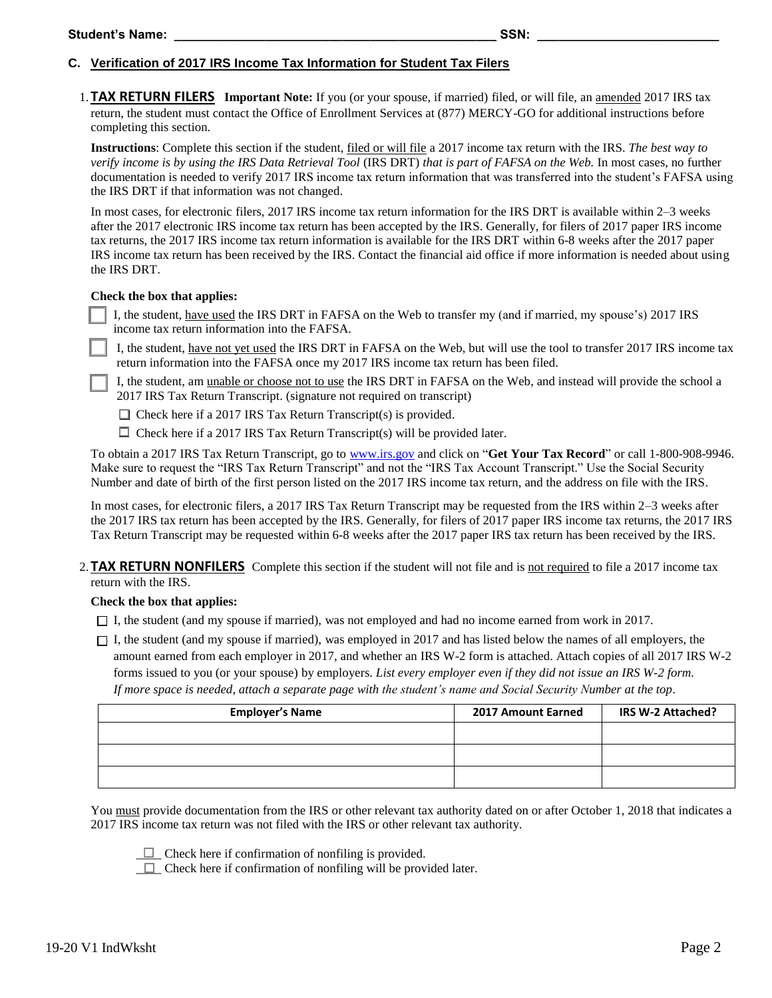## **C. Verification of 2017 IRS Income Tax Information for Student Tax Filers**

1.**TAX RETURN FILERS Important Note:** If you (or your spouse, if married) filed, or will file, an amended 2017 IRS tax return, the student must contact the Office of Enrollment Services at (877) MERCY-GO for additional instructions before completing this section.

**Instructions**: Complete this section if the student, filed or will file a 2017 income tax return with the IRS. *The best way to verify income is by using the IRS Data Retrieval Tool* (IRS DRT) *that is part of FAFSA on the Web.* In most cases, no further documentation is needed to verify 2017 IRS income tax return information that was transferred into the student's FAFSA using the IRS DRT if that information was not changed.

In most cases, for electronic filers, 2017 IRS income tax return information for the IRS DRT is available within 2–3 weeks after the 2017 electronic IRS income tax return has been accepted by the IRS. Generally, for filers of 2017 paper IRS income tax returns, the 2017 IRS income tax return information is available for the IRS DRT within 6-8 weeks after the 2017 paper IRS income tax return has been received by the IRS. Contact the financial aid office if more information is needed about using the IRS DRT.

#### **Check the box that applies:**

I, the student, have used the IRS DRT in FAFSA on the Web to transfer my (and if married, my spouse's) 2017 IRS income tax return information into the FAFSA.

I, the student, have not yet used th[e IRS DRT in F](http://www.irs.gov/)AFSA on the Web, but will use the tool to transfer 2017 IRS income tax return information into the FAFSA once my 2017 IRS income tax return has been filed.

I, the student, am unable or choos[e not to use](http://www.irs.gov/) the IRS DRT in FAFSA on the Web, and instead will provide the school a 2017 IRS Tax Return Transcript. (signature not required on transcript)

- $\Box$  Check here if a 2017 IRS Tax Return Transcript(s) is provided.
- $\Box$  Check here if a 2017 IRS Tax Return Transcript(s) will be provided later.

To obtain a 2017 IRS Tax Return Transcript, go to [www.irs.gov](http://www.irs.gov/) and click on "**Get Your Tax Record**" or call 1-800-908-9946. Make sure to request the "IRS Tax Return Transcript" and not the "IRS Tax Account Transcript." Use the Social Security Number and date of birth of the first person listed on the 2017 IRS income tax return, and the address on file with the IRS.

In most cases, for electronic filers, a 2017 IRS Tax Return Transcript may be requested from the IRS within 2–3 weeks after the 2017 IRS tax return has been accepted by the IRS. Generally, for filers of 2017 paper IRS income tax returns, the 2017 IRS Tax Return Transcript may be requested within 6-8 weeks after the 2017 paper IRS tax return has been received by the IRS.

2.**TAX RETURN NONFILERS** Complete this section if the student will not file and is not required to file a 2017 income tax return with the IRS.

#### **Check the box that applies:**

- $\Box$  I, the student (and my spouse if married), was not employed and had no income earned from work in 2017.
- $\Box$  I, the student (and my spouse if married), was employed in 2017 and has listed below the names of all employers, the amount earned from each employer in 2017, and whether an IRS W-2 form is attached. Attach copies of all 2017 IRS W-2 forms issued to you (or your spouse) by employers. *List every employer even if they did not issue an IRS W-2 form. If more space is needed, attach a separate page with the student's name and Social Security Number at the top*.

| <b>Employer's Name</b> | 2017 Amount Earned | IRS W-2 Attached? |
|------------------------|--------------------|-------------------|
|                        |                    |                   |
|                        |                    |                   |
|                        |                    |                   |

You must provide documentation from the IRS or other relevant tax authority dated on or after October 1, 2018 that indicates a 2017 IRS income tax return was not filed with the IRS or other relevant tax authority.

 $\Box$  Check here if confirmation of nonfiling is provided.

 $\Box$  Check here if confirmation of nonfiling will be provided later.